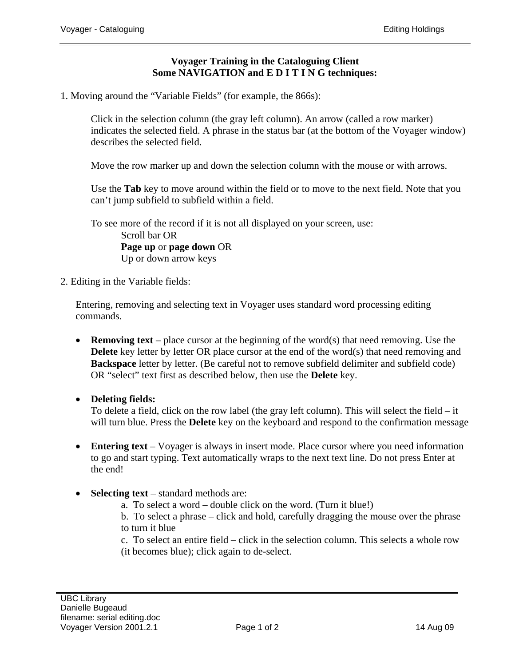# **Voyager Training in the Cataloguing Client Some NAVIGATION and E D I T I N G techniques:**

1. Moving around the "Variable Fields" (for example, the 866s):

Click in the selection column (the gray left column). An arrow (called a row marker) indicates the selected field. A phrase in the status bar (at the bottom of the Voyager window) describes the selected field.

Move the row marker up and down the selection column with the mouse or with arrows.

Use the **Tab** key to move around within the field or to move to the next field. Note that you can't jump subfield to subfield within a field.

To see more of the record if it is not all displayed on your screen, use: Scroll bar OR **Page up** or **page down** OR Up or down arrow keys

2. Editing in the Variable fields:

Entering, removing and selecting text in Voyager uses standard word processing editing commands.

- **Removing text** place cursor at the beginning of the word(s) that need removing. Use the **Delete** key letter by letter OR place cursor at the end of the word(s) that need removing and **Backspace** letter by letter. (Be careful not to remove subfield delimiter and subfield code) OR "select" text first as described below, then use the **Delete** key.
- **Deleting fields:**

To delete a field, click on the row label (the gray left column). This will select the field – it will turn blue. Press the **Delete** key on the keyboard and respond to the confirmation message

- **Entering text** Voyager is always in insert mode. Place cursor where you need information to go and start typing. Text automatically wraps to the next text line. Do not press Enter at the end!
- **Selecting text** standard methods are:
	- a. To select a word double click on the word. (Turn it blue!)

b. To select a phrase – click and hold, carefully dragging the mouse over the phrase to turn it blue

c. To select an entire field – click in the selection column. This selects a whole row (it becomes blue); click again to de-select.